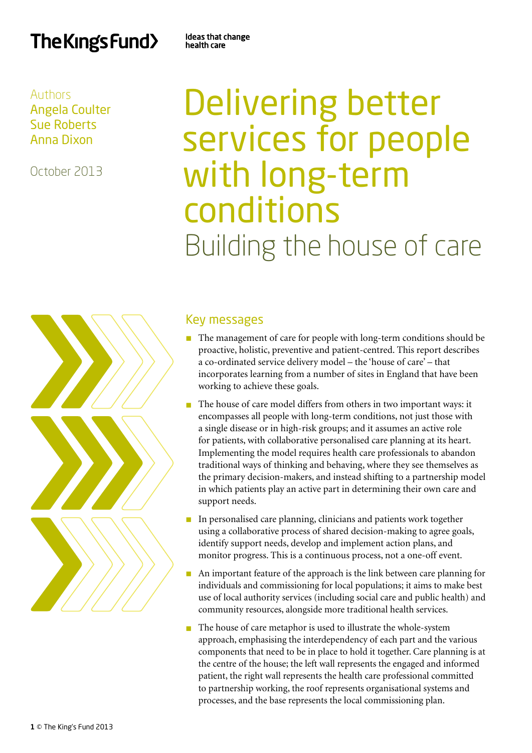# The Kings Fund>

Ideas that change health care

# Authors Angela Coulter Sue Roberts Anna Dixon

October 2013

# Delivering better services for people with long-term conditions Building the house of care



# Key messages

- $\blacksquare$  The management of care for people with long-term conditions should be proactive, holistic, preventive and patient-centred. This report describes a co-ordinated service delivery model – the 'house of care' – that incorporates learning from a number of sites in England that have been working to achieve these goals.
- n The house of care model differs from others in two important ways: it encompasses all people with long-term conditions, not just those with a single disease or in high-risk groups; and it assumes an active role for patients, with collaborative personalised care planning at its heart. Implementing the model requires health care professionals to abandon traditional ways of thinking and behaving, where they see themselves as the primary decision-makers, and instead shifting to a partnership model in which patients play an active part in determining their own care and support needs.
- n In personalised care planning, clinicians and patients work together using a collaborative process of shared decision-making to agree goals, identify support needs, develop and implement action plans, and monitor progress. This is a continuous process, not a one-off event.
- $\blacksquare$  An important feature of the approach is the link between care planning for individuals and commissioning for local populations; it aims to make best use of local authority services (including social care and public health) and community resources, alongside more traditional health services.
- $\blacksquare$  The house of care metaphor is used to illustrate the whole-system approach, emphasising the interdependency of each part and the various components that need to be in place to hold it together. Care planning is at the centre of the house; the left wall represents the engaged and informed patient, the right wall represents the health care professional committed to partnership working, the roof represents organisational systems and processes, and the base represents the local commissioning plan.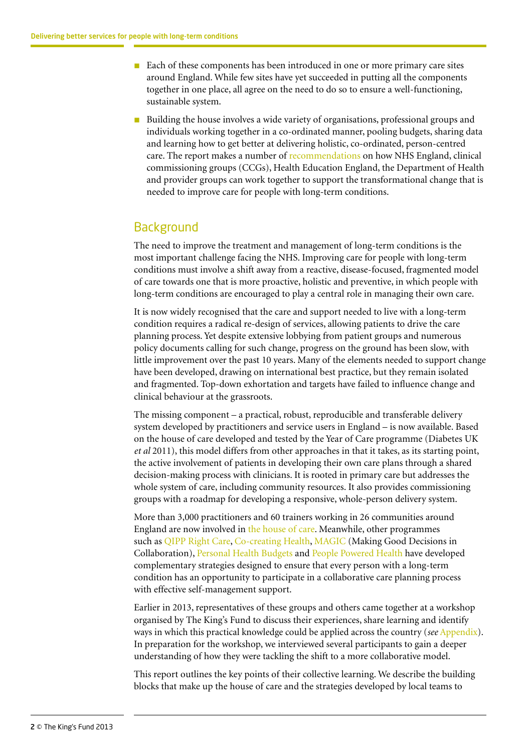- Each of these components has been introduced in one or more primary care sites around England. While few sites have yet succeeded in putting all the components together in one place, all agree on the need to do so to ensure a well-functioning, sustainable system.
- n Building the house involves a wide variety of organisations, professional groups and individuals working together in a co-ordinated manner, pooling budgets, sharing data and learning how to get better at delivering holistic, co-ordinated, person-centred care. The report makes a number o[f recommendations o](#page-20-0)n how NHS England, clinical commissioning groups (CCGs), Health Education England, the Department of Health and provider groups can work together to support the transformational change that is needed to improve care for people with long-term conditions.

# **Background**

The need to improve the treatment and management of long-term conditions is the most important challenge facing the NHS. Improving care for people with long-term conditions must involve a shift away from a reactive, disease-focused, fragmented model of care towards one that is more proactive, holistic and preventive, in which people with long-term conditions are encouraged to play a central role in managing their own care.

It is now widely recognised that the care and support needed to live with a long-term condition requires a radical re-design of services, allowing patients to drive the care planning process. Yet despite extensive lobbying from patient groups and numerous policy documents calling for such change, progress on the ground has been slow, with little improvement over the past 10 years. Many of the elements needed to support change have been developed, drawing on international best practice, but they remain isolated and fragmented. Top-down exhortation and targets have failed to influence change and clinical behaviour at the grassroots.

The missing component – a practical, robust, reproducible and transferable delivery system developed by practitioners and service users in England – is now available. Based on the house of care developed and tested by the Year of Care programme (Diabetes UK *et al* 2011), this model differs from other approaches in that it takes, as its starting point, the active involvement of patients in developing their own care plans through a shared decision-making process with clinicians. It is rooted in primary care but addresses the whole system of care, including community resources. It also provides commissioning groups with a roadmap for developing a responsive, whole-person delivery system.

More than 3,000 practitioners and 60 trainers working in 26 communities around England are now involved in [the house of care](http://www.networks.nhs.uk/nhs-networks/national-pbc-clinical-leaders-network/documents/YOC_Report.pdf). Meanwhile, other programmes such as [QIPP Right Care,](http://www.rightcare.nhs.uk/index.php/shared-decision-making/about-the-sdm-programme/) [Co-creating Health,](http://www.health.org.uk/areas-of-work/programmes/co-creating-health/) [MAGIC](http://www.health.org.uk/areas-of-work/programmes/shared-decision-making/) (Making Good Decisions in Collaboration), [Personal Health Budgets](http://www.personalhealthbudgets.england.nhs.uk/) and [People Powered Health](http://www.nesta.org.uk/areas_of_work/public_services_lab/health_and_ageing/people_powered_health) have developed complementary strategies designed to ensure that every person with a long-term condition has an opportunity to participate in a collaborative care planning process with effective self-management support.

Earlier in 2013, representatives of these groups and others came together at a workshop organised by The King's Fund to discuss their experiences, share learning and identify ways in which this practical knowledge could be applied across the country (*see* [Appendix\).](#page-26-0)  In preparation for the workshop, we interviewed several participants to gain a deeper understanding of how they were tackling the shift to a more collaborative model.

This report outlines the key points of their collective learning. We describe the building blocks that make up the house of care and the strategies developed by local teams to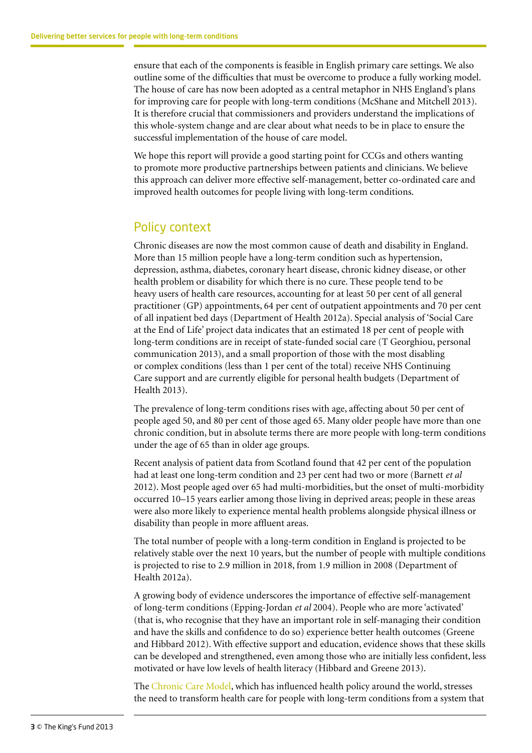ensure that each of the components is feasible in English primary care settings. We also outline some of the difficulties that must be overcome to produce a fully working model. The house of care has now been adopted as a central metaphor in NHS England's plans for improving care for people with long-term conditions (McShane and Mitchell 2013). It is therefore crucial that commissioners and providers understand the implications of this whole-system change and are clear about what needs to be in place to ensure the successful implementation of the house of care model.

We hope this report will provide a good starting point for CCGs and others wanting to promote more productive partnerships between patients and clinicians. We believe this approach can deliver more effective self-management, better co-ordinated care and improved health outcomes for people living with long-term conditions.

### Policy context

Chronic diseases are now the most common cause of death and disability in England. More than 15 million people have a long-term condition such as hypertension, depression, asthma, diabetes, coronary heart disease, chronic kidney disease, or other health problem or disability for which there is no cure. These people tend to be heavy users of health care resources, accounting for at least 50 per cent of all general practitioner (GP) appointments, 64 per cent of outpatient appointments and 70 per cent of all inpatient bed days (Department of Health 2012a). Special analysis of 'Social Care at the End of Life' project data indicates that an estimated 18 per cent of people with long-term conditions are in receipt of state-funded social care (T Georghiou, personal communication 2013), and a small proportion of those with the most disabling or complex conditions (less than 1 per cent of the total) receive NHS Continuing Care support and are currently eligible for personal health budgets (Department of Health 2013).

The prevalence of long-term conditions rises with age, affecting about 50 per cent of people aged 50, and 80 per cent of those aged 65. Many older people have more than one chronic condition, but in absolute terms there are more people with long-term conditions under the age of 65 than in older age groups.

Recent analysis of patient data from Scotland found that 42 per cent of the population had at least one long-term condition and 23 per cent had two or more (Barnett *et al* 2012). Most people aged over 65 had multi-morbidities, but the onset of multi-morbidity occurred 10–15 years earlier among those living in deprived areas; people in these areas were also more likely to experience mental health problems alongside physical illness or disability than people in more affluent areas.

The total number of people with a long-term condition in England is projected to be relatively stable over the next 10 years, but the number of people with multiple conditions is projected to rise to 2.9 million in 2018, from 1.9 million in 2008 (Department of Health 2012a).

A growing body of evidence underscores the importance of effective self-management of long-term conditions (Epping-Jordan *et al* 2004). People who are more 'activated' (that is, who recognise that they have an important role in self-managing their condition and have the skills and confidence to do so) experience better health outcomes (Greene and Hibbard 2012). With effective support and education, evidence shows that these skills can be developed and strengthened, even among those who are initially less confident, less motivated or have low levels of health literacy (Hibbard and Greene 2013).

The C[hronic Care Model,](http://www.improvingchroniccare.org/?p=The_Chronic_Care_Model&s=2) which has influenced health policy around the world, stresses the need to transform health care for people with long-term conditions from a system that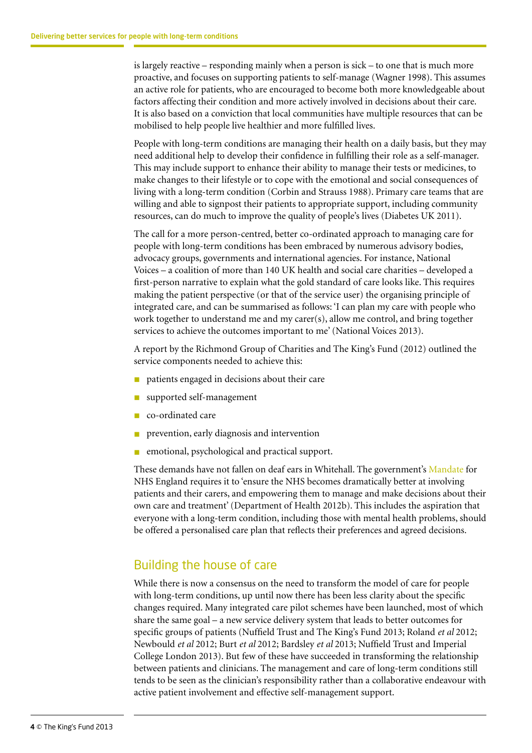is largely reactive – responding mainly when a person is sick – to one that is much more proactive, and focuses on supporting patients to self-manage (Wagner 1998). This assumes an active role for patients, who are encouraged to become both more knowledgeable about factors affecting their condition and more actively involved in decisions about their care. It is also based on a conviction that local communities have multiple resources that can be mobilised to help people live healthier and more fulfilled lives.

People with long-term conditions are managing their health on a daily basis, but they may need additional help to develop their confidence in fulfilling their role as a self-manager. This may include support to enhance their ability to manage their tests or medicines, to make changes to their lifestyle or to cope with the emotional and social consequences of living with a long-term condition (Corbin and Strauss 1988). Primary care teams that are willing and able to signpost their patients to appropriate support, including community resources, can do much to improve the quality of people's lives (Diabetes UK 2011).

The call for a more person-centred, better co-ordinated approach to managing care for people with long-term conditions has been embraced by numerous advisory bodies, advocacy groups, governments and international agencies. For instance, National Voices – a coalition of more than 140 UK health and social care charities – developed a first-person narrative to explain what the gold standard of care looks like. This requires making the patient perspective (or that of the service user) the organising principle of integrated care, and can be summarised as follows: 'I can plan my care with people who work together to understand me and my carer(s), allow me control, and bring together services to achieve the outcomes important to me' (National Voices 2013).

A report by the Richmond Group of Charities and The King's Fund (2012) outlined the service components needed to achieve this:

- n patients engaged in decisions about their care
- supported self-management
- co-ordinated care
- prevention, early diagnosis and intervention
- emotional, psychological and practical support.

These demands have not fallen on deaf ears in Whitehall. The government's [Mandate](http://mandate.dh.gov.uk/) for NHS England requires it to 'ensure the NHS becomes dramatically better at involving patients and their carers, and empowering them to manage and make decisions about their own care and treatment' (Department of Health 2012b). This includes the aspiration that everyone with a long-term condition, including those with mental health problems, should be offered a personalised care plan that reflects their preferences and agreed decisions.

#### Building the house of care

While there is now a consensus on the need to transform the model of care for people with long-term conditions, up until now there has been less clarity about the specific changes required. Many integrated care pilot schemes have been launched, most of which share the same goal – a new service delivery system that leads to better outcomes for specific groups of patients (Nuffield Trust and The King's Fund 2013; Roland *et al* 2012; Newbould *et al* 2012; Burt *et al* 2012; Bardsley *et al* 2013; Nuffield Trust and Imperial College London 2013). But few of these have succeeded in transforming the relationship between patients and clinicians. The management and care of long-term conditions still tends to be seen as the clinician's responsibility rather than a collaborative endeavour with active patient involvement and effective self-management support.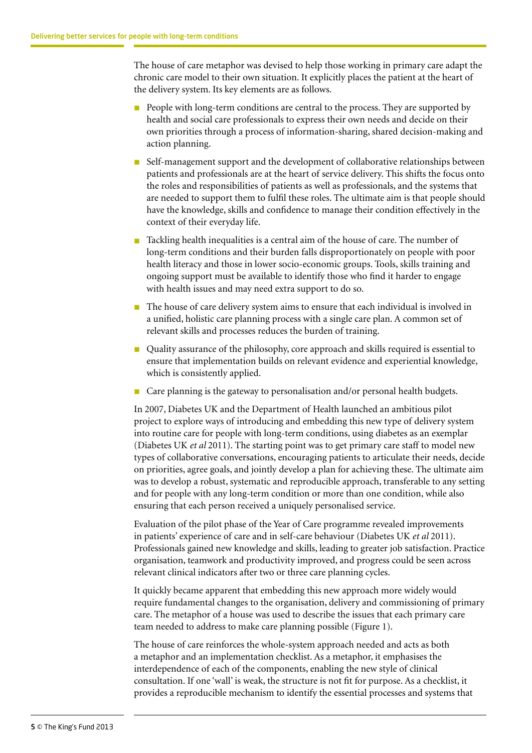The house of care metaphor was devised to help those working in primary care adapt the chronic care model to their own situation. It explicitly places the patient at the heart of the delivery system. Its key elements are as follows.

- **n** People with long-term conditions are central to the process. They are supported by health and social care professionals to express their own needs and decide on their own priorities through a process of information-sharing, shared decision-making and action planning.
- n Self-management support and the development of collaborative relationships between patients and professionals are at the heart of service delivery. This shifts the focus onto the roles and responsibilities of patients as well as professionals, and the systems that are needed to support them to fulfil these roles. The ultimate aim is that people should have the knowledge, skills and confidence to manage their condition effectively in the context of their everyday life.
- Tackling health inequalities is a central aim of the house of care. The number of long-term conditions and their burden falls disproportionately on people with poor health literacy and those in lower socio-economic groups. Tools, skills training and ongoing support must be available to identify those who find it harder to engage with health issues and may need extra support to do so.
- n The house of care delivery system aims to ensure that each individual is involved in a unified, holistic care planning process with a single care plan. A common set of relevant skills and processes reduces the burden of training.
- n Quality assurance of the philosophy, core approach and skills required is essential to ensure that implementation builds on relevant evidence and experiential knowledge, which is consistently applied.
- n Care planning is the gateway to personalisation and/or personal health budgets.

In 2007, Diabetes UK and the Department of Health launched an ambitious pilot project to explore ways of introducing and embedding this new type of delivery system into routine care for people with long-term conditions, using diabetes as an exemplar (Diabetes UK *et al* 2011). The starting point was to get primary care staff to model new types of collaborative conversations, encouraging patients to articulate their needs, decide on priorities, agree goals, and jointly develop a plan for achieving these. The ultimate aim was to develop a robust, systematic and reproducible approach, transferable to any setting and for people with any long-term condition or more than one condition, while also ensuring that each person received a uniquely personalised service.

Evaluation of the pilot phase of the Year of Care programme revealed improvements in patients' experience of care and in self-care behaviour (Diabetes UK *et al* 2011). Professionals gained new knowledge and skills, leading to greater job satisfaction. Practice organisation, teamwork and productivity improved, and progress could be seen across relevant clinical indicators after two or three care planning cycles.

It quickly became apparent that embedding this new approach more widely would require fundamental changes to the organisation, delivery and commissioning of primary care. The metaphor of a house was used to describe the issues that each primary care team needed to address to make care planning possible (Figure 1).

The house of care reinforces the whole-system approach needed and acts as both a metaphor and an implementation checklist. As a metaphor, it emphasises the interdependence of each of the components, enabling the new style of clinical consultation. If one 'wall' is weak, the structure is not fit for purpose. As a checklist, it provides a reproducible mechanism to identify the essential processes and systems that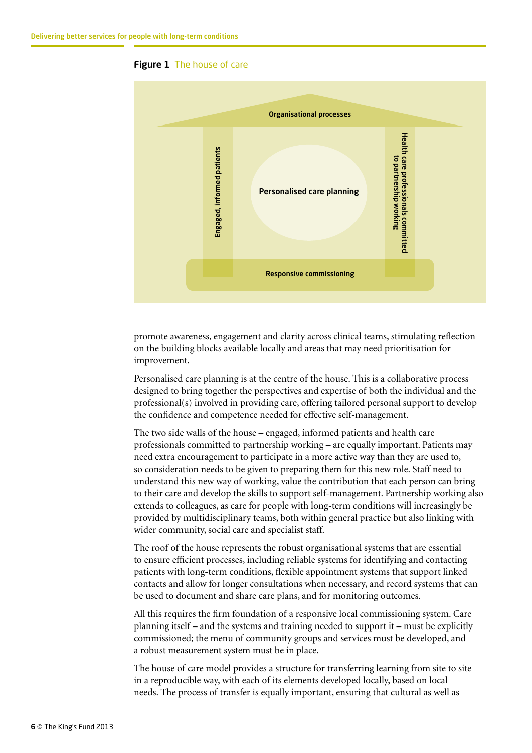



promote awareness, engagement and clarity across clinical teams, stimulating reflection on the building blocks available locally and areas that may need prioritisation for improvement.

Personalised care planning is at the centre of the house. This is a collaborative process designed to bring together the perspectives and expertise of both the individual and the professional(s) involved in providing care, offering tailored personal support to develop the confidence and competence needed for effective self-management.

The two side walls of the house – engaged, informed patients and health care professionals committed to partnership working – are equally important. Patients may need extra encouragement to participate in a more active way than they are used to, so consideration needs to be given to preparing them for this new role. Staff need to understand this new way of working, value the contribution that each person can bring to their care and develop the skills to support self-management. Partnership working also extends to colleagues, as care for people with long-term conditions will increasingly be provided by multidisciplinary teams, both within general practice but also linking with wider community, social care and specialist staff.

The roof of the house represents the robust organisational systems that are essential to ensure efficient processes, including reliable systems for identifying and contacting patients with long-term conditions, flexible appointment systems that support linked contacts and allow for longer consultations when necessary, and record systems that can be used to document and share care plans, and for monitoring outcomes.

All this requires the firm foundation of a responsive local commissioning system. Care planning itself – and the systems and training needed to support it – must be explicitly commissioned; the menu of community groups and services must be developed, and a robust measurement system must be in place.

The house of care model provides a structure for transferring learning from site to site in a reproducible way, with each of its elements developed locally, based on local needs. The process of transfer is equally important, ensuring that cultural as well as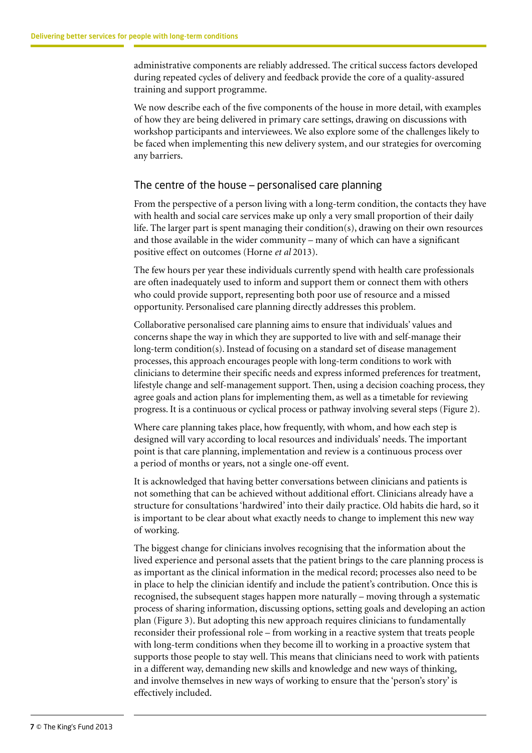administrative components are reliably addressed. The critical success factors developed during repeated cycles of delivery and feedback provide the core of a quality-assured training and support programme.

We now describe each of the five components of the house in more detail, with examples of how they are being delivered in primary care settings, drawing on discussions with workshop participants and interviewees. We also explore some of the challenges likely to be faced when implementing this new delivery system, and our strategies for overcoming any barriers.

#### The centre of the house – personalised care planning

From the perspective of a person living with a long-term condition, the contacts they have with health and social care services make up only a very small proportion of their daily life. The larger part is spent managing their condition(s), drawing on their own resources and those available in the wider community – many of which can have a significant positive effect on outcomes (Horne *et al* 2013).

The few hours per year these individuals currently spend with health care professionals are often inadequately used to inform and support them or connect them with others who could provide support, representing both poor use of resource and a missed opportunity. Personalised care planning directly addresses this problem.

Collaborative personalised care planning aims to ensure that individuals' values and concerns shape the way in which they are supported to live with and self-manage their long-term condition(s). Instead of focusing on a standard set of disease management processes, this approach encourages people with long-term conditions to work with clinicians to determine their specific needs and express informed preferences for treatment, lifestyle change and self-management support. Then, using a decision coaching process, they agree goals and action plans for implementing them, as well as a timetable for reviewing progress. It is a continuous or cyclical process or pathway involving several steps (Figure 2).

Where care planning takes place, how frequently, with whom, and how each step is designed will vary according to local resources and individuals' needs. The important point is that care planning, implementation and review is a continuous process over a period of months or years, not a single one-off event.

It is acknowledged that having better conversations between clinicians and patients is not something that can be achieved without additional effort. Clinicians already have a structure for consultations 'hardwired' into their daily practice. Old habits die hard, so it is important to be clear about what exactly needs to change to implement this new way of working.

The biggest change for clinicians involves recognising that the information about the lived experience and personal assets that the patient brings to the care planning process is as important as the clinical information in the medical record; processes also need to be in place to help the clinician identify and include the patient's contribution. Once this is recognised, the subsequent stages happen more naturally – moving through a systematic process of sharing information, discussing options, setting goals and developing an action plan (Figure 3). But adopting this new approach requires clinicians to fundamentally reconsider their professional role – from working in a reactive system that treats people with long-term conditions when they become ill to working in a proactive system that supports those people to stay well. This means that clinicians need to work with patients in a different way, demanding new skills and knowledge and new ways of thinking, and involve themselves in new ways of working to ensure that the 'person's story' is effectively included.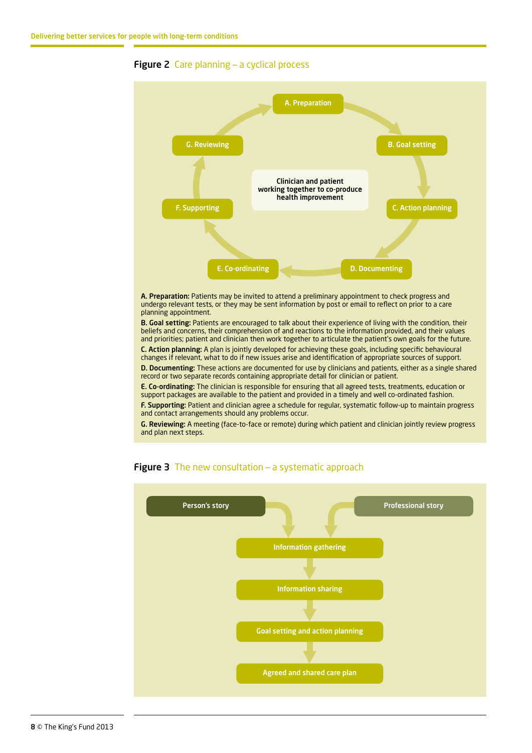

#### **Figure 2** Care planning – a cyclical process

A. Preparation: Patients may be invited to attend a preliminary appointment to check progress and undergo relevant tests, or they may be sent information by post or email to reflect on prior to a care planning appointment.

B. Goal setting: Patients are encouraged to talk about their experience of living with the condition, their beliefs and concerns, their comprehension of and reactions to the information provided, and their values and priorities; patient and clinician then work together to articulate the patient's own goals for the future.

C. Action planning: A plan is jointly developed for achieving these goals, including specific behavioural changes if relevant, what to do if new issues arise and identification of appropriate sources of support.

D. Documenting: These actions are documented for use by clinicians and patients, either as a single shared record or two separate records containing appropriate detail for clinician or patient.

E. Co-ordinating: The clinician is responsible for ensuring that all agreed tests, treatments, education or support packages are available to the patient and provided in a timely and well co-ordinated fashion.

F. Supporting: Patient and clinician agree a schedule for regular, systematic follow-up to maintain progress and contact arrangements should any problems occur.

G. Reviewing: A meeting (face-to-face or remote) during which patient and clinician jointly review progress and plan next steps.



#### Figure 3 The new consultation - a systematic approach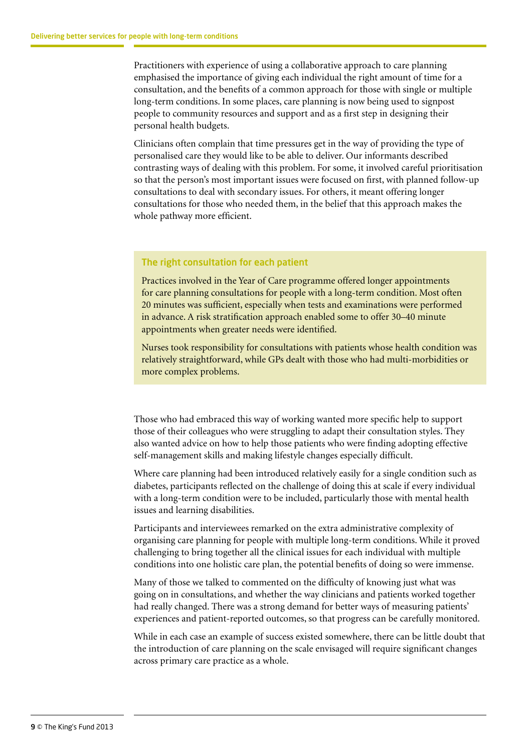Practitioners with experience of using a collaborative approach to care planning emphasised the importance of giving each individual the right amount of time for a consultation, and the benefits of a common approach for those with single or multiple long-term conditions. In some places, care planning is now being used to signpost people to community resources and support and as a first step in designing their personal health budgets.

Clinicians often complain that time pressures get in the way of providing the type of personalised care they would like to be able to deliver. Our informants described contrasting ways of dealing with this problem. For some, it involved careful prioritisation so that the person's most important issues were focused on first, with planned follow-up consultations to deal with secondary issues. For others, it meant offering longer consultations for those who needed them, in the belief that this approach makes the whole pathway more efficient.

#### The right consultation for each patient

Practices involved in the Year of Care programme offered longer appointments for care planning consultations for people with a long-term condition. Most often 20 minutes was sufficient, especially when tests and examinations were performed in advance. A risk stratification approach enabled some to offer 30–40 minute appointments when greater needs were identified.

Nurses took responsibility for consultations with patients whose health condition was relatively straightforward, while GPs dealt with those who had multi-morbidities or more complex problems.

Those who had embraced this way of working wanted more specific help to support those of their colleagues who were struggling to adapt their consultation styles. They also wanted advice on how to help those patients who were finding adopting effective self-management skills and making lifestyle changes especially difficult.

Where care planning had been introduced relatively easily for a single condition such as diabetes, participants reflected on the challenge of doing this at scale if every individual with a long-term condition were to be included, particularly those with mental health issues and learning disabilities.

Participants and interviewees remarked on the extra administrative complexity of organising care planning for people with multiple long-term conditions. While it proved challenging to bring together all the clinical issues for each individual with multiple conditions into one holistic care plan, the potential benefits of doing so were immense.

Many of those we talked to commented on the difficulty of knowing just what was going on in consultations, and whether the way clinicians and patients worked together had really changed. There was a strong demand for better ways of measuring patients' experiences and patient-reported outcomes, so that progress can be carefully monitored.

While in each case an example of success existed somewhere, there can be little doubt that the introduction of care planning on the scale envisaged will require significant changes across primary care practice as a whole.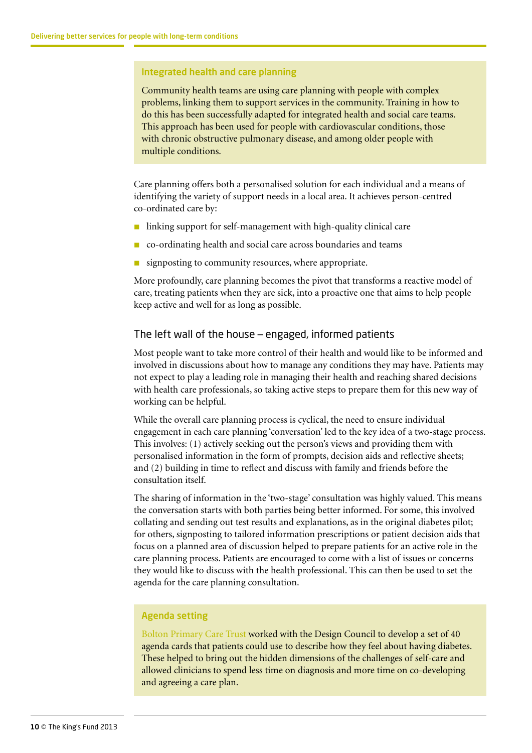#### Integrated health and care planning

Community health teams are using care planning with people with complex problems, linking them to support services in the community. Training in how to do this has been successfully adapted for integrated health and social care teams. This approach has been used for people with cardiovascular conditions, those with chronic obstructive pulmonary disease, and among older people with multiple conditions.

Care planning offers both a personalised solution for each individual and a means of identifying the variety of support needs in a local area. It achieves person-centred co-ordinated care by:

- $\blacksquare$  linking support for self-management with high-quality clinical care
- n co-ordinating health and social care across boundaries and teams
- signposting to community resources, where appropriate.

More profoundly, care planning becomes the pivot that transforms a reactive model of care, treating patients when they are sick, into a proactive one that aims to help people keep active and well for as long as possible.

#### The left wall of the house – engaged, informed patients

Most people want to take more control of their health and would like to be informed and involved in discussions about how to manage any conditions they may have. Patients may not expect to play a leading role in managing their health and reaching shared decisions with health care professionals, so taking active steps to prepare them for this new way of working can be helpful.

While the overall care planning process is cyclical, the need to ensure individual engagement in each care planning 'conversation' led to the key idea of a two-stage process. This involves: (1) actively seeking out the person's views and providing them with personalised information in the form of prompts, decision aids and reflective sheets; and (2) building in time to reflect and discuss with family and friends before the consultation itself.

The sharing of information in the 'two-stage' consultation was highly valued. This means the conversation starts with both parties being better informed. For some, this involved collating and sending out test results and explanations, as in the original diabetes pilot; for others, signposting to tailored information prescriptions or patient decision aids that focus on a planned area of discussion helped to prepare patients for an active role in the care planning process. Patients are encouraged to come with a list of issues or concerns they would like to discuss with the health professional. This can then be used to set the agenda for the care planning consultation.

#### Agenda setting

[Bolton Primary Care Trust](http://www.designcouncil.org.uk/case-studies/diabetes-management/the-first-idea/) worked with the Design Council to develop a set of 40 agenda cards that patients could use to describe how they feel about having diabetes. These helped to bring out the hidden dimensions of the challenges of self-care and allowed clinicians to spend less time on diagnosis and more time on co-developing and agreeing a care plan.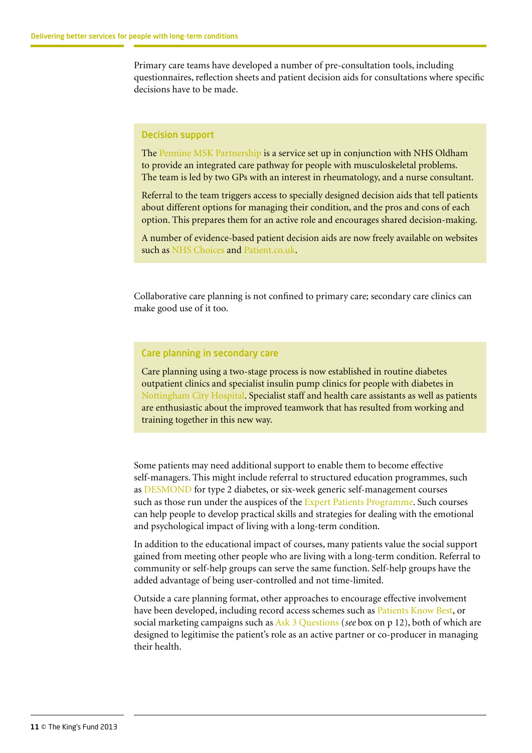Primary care teams have developed a number of pre-consultation tools, including questionnaires, reflection sheets and patient decision aids for consultations where specific decisions have to be made.

#### Decision support

The [Pennine MSK Partnership](http://www.pmskp.org/) is a service set up in conjunction with NHS Oldham to provide an integrated care pathway for people with musculoskeletal problems. The team is led by two GPs with an interest in rheumatology, and a nurse consultant.

Referral to the team triggers access to specially designed decision aids that tell patients about different options for managing their condition, and the pros and cons of each option. This prepares them for an active role and encourages shared decision-making.

A number of evidence-based patient decision aids are now freely available on websites such as [NHS Choices](http://www.nhs.uk/Pages/HomePage.aspx) and [Patient.co.uk](http://www.patient.co.uk/).

Collaborative care planning is not confined to primary care; secondary care clinics can make good use of it too.

#### Care planning in secondary care

Care planning using a two-stage process is now established in routine diabetes outpatient clinics and specialist insulin pump clinics for people with diabetes in [Nottingham City Hospital.](https://www.nuh.nhs.uk/our-services/services/diabetes/) Specialist staff and health care assistants as well as patients are enthusiastic about the improved teamwork that has resulted from working and training together in this new way.

Some patients may need additional support to enable them to become effective self-managers. This might include referral to structured education programmes, such as [DESMOND](http://www.desmond-project.org.uk/) for type 2 diabetes, or six-week generic self-management courses such as those run under the auspices of the [Expert Patients Programme](http://www.expertpatients.co.uk/). Such courses can help people to develop practical skills and strategies for dealing with the emotional and psychological impact of living with a long-term condition.

In addition to the educational impact of courses, many patients value the social support gained from meeting other people who are living with a long-term condition. Referral to community or self-help groups can serve the same function. Self-help groups have the added advantage of being user-controlled and not time-limited.

Outside a care planning format, other approaches to encourage effective involvement have been developed, including record access schemes such as [Patients Know Best,](http://www.patientsknowbest.com/) or social marketing campaigns such as [Ask 3 Questions](http://shareddecisionmaking.health.org.uk/approaches-and-activities/case-studies/ask-three-questions/) (*see* box on p 12), both of which are designed to legitimise the patient's role as an active partner or co-producer in managing their health.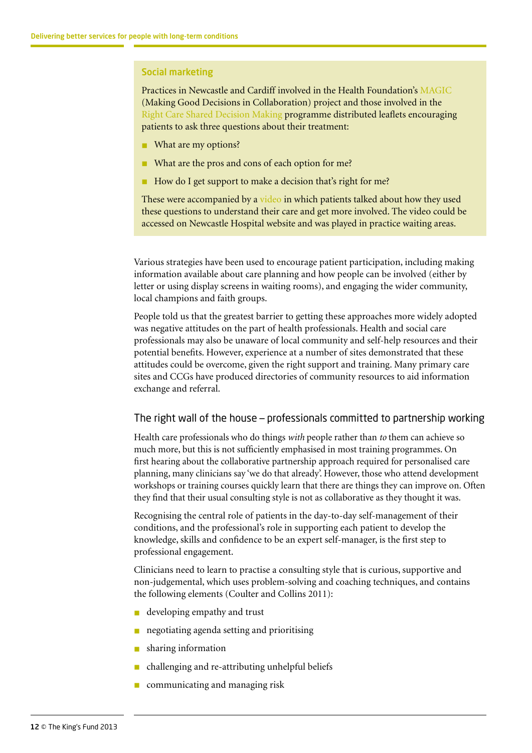#### Social marketing

Practices in Newcastle and Cardiff involved in the Health Foundation's [MAGIC](http://www.health.org.uk/areas-of-work/programmes/shared-decision-making/) (Making Good Decisions in Collaboration) project and those involved in the Right [Care Shared Decision Making](http://www.rightcare.nhs.uk/index.php/shared-decision-making/) programme distributed leaflets encouraging patients to ask three questions about their treatment:

- **n** What are my options?
- What are the pros and cons of each option for me?
- How do I get support to make a decision that's right for me?

These were accompanied by a [video](http://www.newcastle-hospitals.org.uk/patient-guides/making-decisions-about-care-and-treatment_how-can-i-be-involved.aspx) in which patients talked about how they used these questions to understand their care and get more involved. The video could be accessed on Newcastle Hospital website and was played in practice waiting areas.

Various strategies have been used to encourage patient participation, including making information available about care planning and how people can be involved (either by letter or using display screens in waiting rooms), and engaging the wider community, local champions and faith groups.

People told us that the greatest barrier to getting these approaches more widely adopted was negative attitudes on the part of health professionals. Health and social care professionals may also be unaware of local community and self-help resources and their potential benefits. However, experience at a number of sites demonstrated that these attitudes could be overcome, given the right support and training. Many primary care sites and CCGs have produced directories of community resources to aid information exchange and referral.

#### The right wall of the house – professionals committed to partnership working

Health care professionals who do things *with* people rather than *to* them can achieve so much more, but this is not sufficiently emphasised in most training programmes. On first hearing about the collaborative partnership approach required for personalised care planning, many clinicians say 'we do that already'. However, those who attend development workshops or training courses quickly learn that there are things they can improve on. Often they find that their usual consulting style is not as collaborative as they thought it was.

Recognising the central role of patients in the day-to-day self-management of their conditions, and the professional's role in supporting each patient to develop the knowledge, skills and confidence to be an expert self-manager, is the first step to professional engagement.

Clinicians need to learn to practise a consulting style that is curious, supportive and non-judgemental, which uses problem-solving and coaching techniques, and contains the following elements (Coulter and Collins 2011):

- **n** developing empathy and trust
- negotiating agenda setting and prioritising
- sharing information
- n challenging and re-attributing unhelpful beliefs
- communicating and managing risk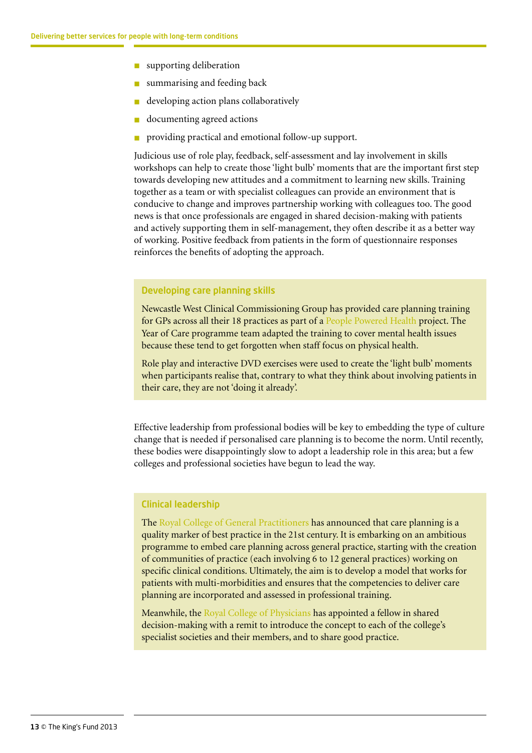- $\blacksquare$  supporting deliberation
- summarising and feeding back
- developing action plans collaboratively
- documenting agreed actions
- providing practical and emotional follow-up support.

Judicious use of role play, feedback, self-assessment and lay involvement in skills workshops can help to create those 'light bulb' moments that are the important first step towards developing new attitudes and a commitment to learning new skills. Training together as a team or with specialist colleagues can provide an environment that is conducive to change and improves partnership working with colleagues too. The good news is that once professionals are engaged in shared decision-making with patients and actively supporting them in self-management, they often describe it as a better way of working. Positive feedback from patients in the form of questionnaire responses reinforces the benefits of adopting the approach.

#### Developing care planning skills

Newcastle West Clinical Commissioning Group has provided care planning training for GPs across all their 18 practices as part of a [People Powered Health](http://www.nesta.org.uk/areas_of_work/public_services_lab/health_and_ageing/people_powered_health) project. The Year of Care programme team adapted the training to cover mental health issues because these tend to get forgotten when staff focus on physical health.

Role play and interactive DVD exercises were used to create the 'light bulb' moments when participants realise that, contrary to what they think about involving patients in their care, they are not 'doing it already'.

Effective leadership from professional bodies will be key to embedding the type of culture change that is needed if personalised care planning is to become the norm. Until recently, these bodies were disappointingly slow to adopt a leadership role in this area; but a few colleges and professional societies have begun to lead the way.

#### Clinical leadership

The [Royal College of General Practitioners](http://www.rcgp.org.uk/clinical-and-research/clinical-resources/care-planning.aspx) has announced that care planning is a quality marker of best practice in the 21st century. It is embarking on an ambitious programme to embed care planning across general practice, starting with the creation of communities of practice (each involving 6 to 12 general practices) working on specific clinical conditions. Ultimately, the aim is to develop a model that works for patients with multi-morbidities and ensures that the competencies to deliver care planning are incorporated and assessed in professional training.

Meanwhile, the [Royal College of Physicians](http://www.rcplondon.ac.uk/) has appointed a fellow in shared decision-making with a remit to introduce the concept to each of the college's specialist societies and their members, and to share good practice.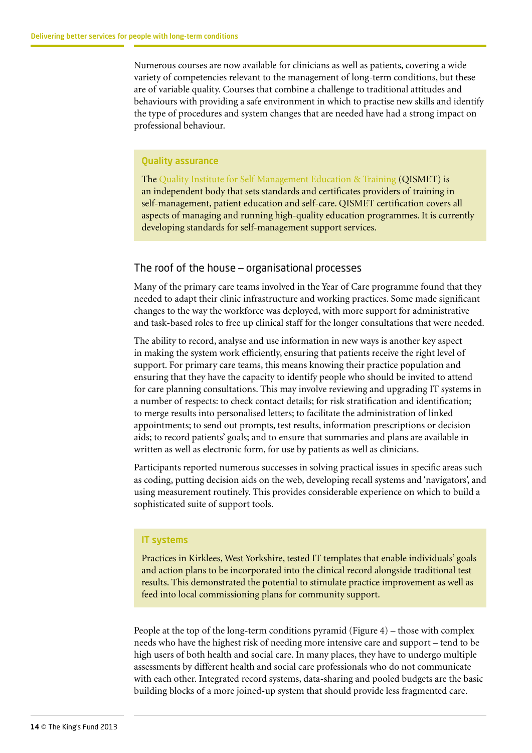Numerous courses are now available for clinicians as well as patients, covering a wide variety of competencies relevant to the management of long-term conditions, but these are of variable quality. Courses that combine a challenge to traditional attitudes and behaviours with providing a safe environment in which to practise new skills and identify the type of procedures and system changes that are needed have had a strong impact on professional behaviour.

#### Quality assurance

The [Quality Institute for Self Management Education & Training](http://qismet.org.uk/) (QISMET) is an independent body that sets standards and certificates providers of training in self-management, patient education and self-care. QISMET certification covers all aspects of managing and running high-quality education programmes. It is currently developing standards for self-management support services.

#### The roof of the house – organisational processes

Many of the primary care teams involved in the Year of Care programme found that they needed to adapt their clinic infrastructure and working practices. Some made significant changes to the way the workforce was deployed, with more support for administrative and task-based roles to free up clinical staff for the longer consultations that were needed.

The ability to record, analyse and use information in new ways is another key aspect in making the system work efficiently, ensuring that patients receive the right level of support. For primary care teams, this means knowing their practice population and ensuring that they have the capacity to identify people who should be invited to attend for care planning consultations. This may involve reviewing and upgrading IT systems in a number of respects: to check contact details; for risk stratification and identification; to merge results into personalised letters; to facilitate the administration of linked appointments; to send out prompts, test results, information prescriptions or decision aids; to record patients' goals; and to ensure that summaries and plans are available in written as well as electronic form, for use by patients as well as clinicians.

Participants reported numerous successes in solving practical issues in specific areas such as coding, putting decision aids on the web, developing recall systems and 'navigators', and using measurement routinely. This provides considerable experience on which to build a sophisticated suite of support tools.

#### IT systems

Practices in Kirklees, West Yorkshire, tested IT templates that enable individuals' goals and action plans to be incorporated into the clinical record alongside traditional test results. This demonstrated the potential to stimulate practice improvement as well as feed into local commissioning plans for community support.

People at the top of the long-term conditions pyramid (Figure 4) – those with complex needs who have the highest risk of needing more intensive care and support – tend to be high users of both health and social care. In many places, they have to undergo multiple assessments by different health and social care professionals who do not communicate with each other. Integrated record systems, data-sharing and pooled budgets are the basic building blocks of a more joined-up system that should provide less fragmented care.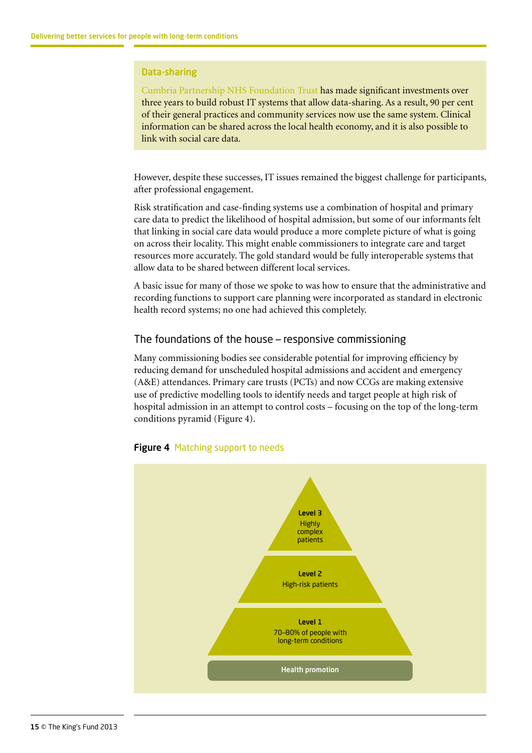#### Data-sharing

[Cumbria Partnership NHS Foundation Trust](http://www.cumbriapartnership.nhs.uk/) has made significant investments over three years to build robust IT systems that allow data-sharing. As a result, 90 per cent of their general practices and community services now use the same system. Clinical information can be shared across the local health economy, and it is also possible to link with social care data.

However, despite these successes, IT issues remained the biggest challenge for participants, after professional engagement.

Risk stratification and case-finding systems use a combination of hospital and primary care data to predict the likelihood of hospital admission, but some of our informants felt that linking in social care data would produce a more complete picture of what is going on across their locality. This might enable commissioners to integrate care and target resources more accurately. The gold standard would be fully interoperable systems that allow data to be shared between different local services.

A basic issue for many of those we spoke to was how to ensure that the administrative and recording functions to support care planning were incorporated as standard in electronic health record systems; no one had achieved this completely.

#### The foundations of the house – responsive commissioning

Many commissioning bodies see considerable potential for improving efficiency by reducing demand for unscheduled hospital admissions and accident and emergency (A&E) attendances. Primary care trusts (PCTs) and now CCGs are making extensive use of predictive modelling tools to identify needs and target people at high risk of hospital admission in an attempt to control costs – focusing on the top of the long-term conditions pyramid (Figure 4).



#### **Figure 4 Matching support to needs**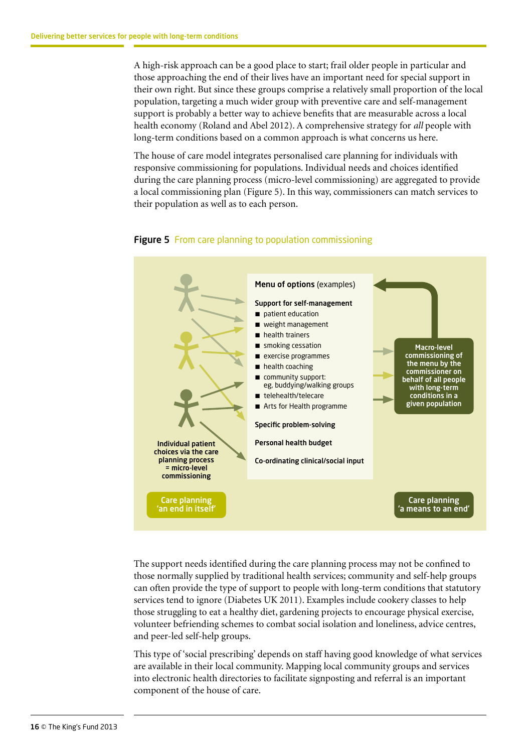A high-risk approach can be a good place to start; frail older people in particular and those approaching the end of their lives have an important need for special support in their own right. But since these groups comprise a relatively small proportion of the local population, targeting a much wider group with preventive care and self-management support is probably a better way to achieve benefits that are measurable across a local health economy (Roland and Abel 2012). A comprehensive strategy for *all* people with long-term conditions based on a common approach is what concerns us here.

The house of care model integrates personalised care planning for individuals with responsive commissioning for populations. Individual needs and choices identified during the care planning process (micro-level commissioning) are aggregated to provide a local commissioning plan (Figure 5). In this way, commissioners can match services to their population as well as to each person.



#### **Figure 5** From care planning to population commissioning

The support needs identified during the care planning process may not be confined to those normally supplied by traditional health services; community and self-help groups can often provide the type of support to people with long-term conditions that statutory services tend to ignore (Diabetes UK 2011). Examples include cookery classes to help those struggling to eat a healthy diet, gardening projects to encourage physical exercise, volunteer befriending schemes to combat social isolation and loneliness, advice centres, and peer-led self-help groups.

This type of 'social prescribing' depends on staff having good knowledge of what services are available in their local community. Mapping local community groups and services into electronic health directories to facilitate signposting and referral is an important component of the house of care.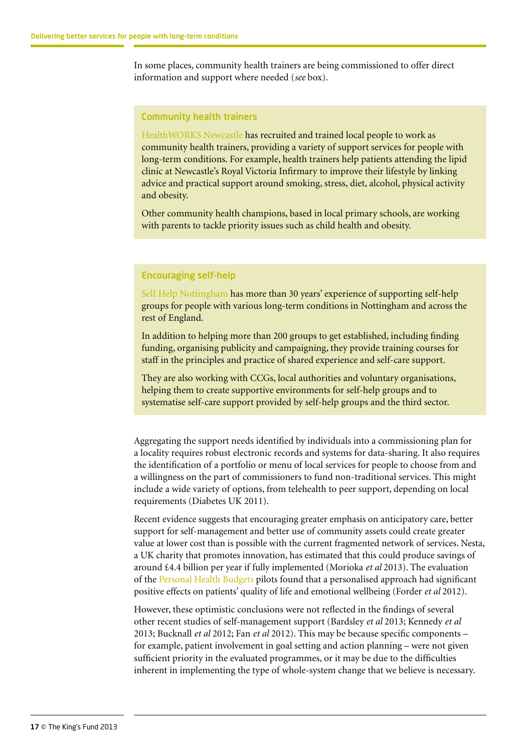In some places, community health trainers are being commissioned to offer direct information and support where needed (*see* box).

#### Community health trainers

[HealthWORKS Newcastle](http://www.hwn.org.uk/) has recruited and trained local people to work as community health trainers, providing a variety of support services for people with long-term conditions. For example, health trainers help patients attending the lipid clinic at Newcastle's Royal Victoria Infirmary to improve their lifestyle by linking advice and practical support around smoking, stress, diet, alcohol, physical activity and obesity.

Other community health champions, based in local primary schools, are working with parents to tackle priority issues such as child health and obesity.

#### Encouraging self-help

[Self Help Nottingham](http://www.selfhelp.org.uk/) has more than 30 years' experience of supporting self-help groups for people with various long-term conditions in Nottingham and across the rest of England.

In addition to helping more than 200 groups to get established, including finding funding, organising publicity and campaigning, they provide training courses for staff in the principles and practice of shared experience and self-care support.

They are also working with CCGs, local authorities and voluntary organisations, helping them to create supportive environments for self-help groups and to systematise self-care support provided by self-help groups and the third sector.

Aggregating the support needs identified by individuals into a commissioning plan for a locality requires robust electronic records and systems for data-sharing. It also requires the identification of a portfolio or menu of local services for people to choose from and a willingness on the part of commissioners to fund non-traditional services. This might include a wide variety of options, from telehealth to peer support, depending on local requirements (Diabetes UK 2011).

Recent evidence suggests that encouraging greater emphasis on anticipatory care, better support for self-management and better use of community assets could create greater value at lower cost than is possible with the current fragmented network of services. Nesta, a UK charity that promotes innovation, has estimated that this could produce savings of around £4.4 billion per year if fully implemented (Morioka *et al* 2013). The evaluation of the [Personal Health Budgets](http://www.personalhealthbudgets.england.nhs.uk/) pilots found that a personalised approach had significant positive effects on patients' quality of life and emotional wellbeing (Forder *et al* 2012).

However, these optimistic conclusions were not reflected in the findings of several other recent studies of self-management support (Bardsley *et al* 2013; Kennedy *et al* 2013; Bucknall *et al* 2012; Fan *et al* 2012). This may be because specific components – for example, patient involvement in goal setting and action planning – were not given sufficient priority in the evaluated programmes, or it may be due to the difficulties inherent in implementing the type of whole-system change that we believe is necessary.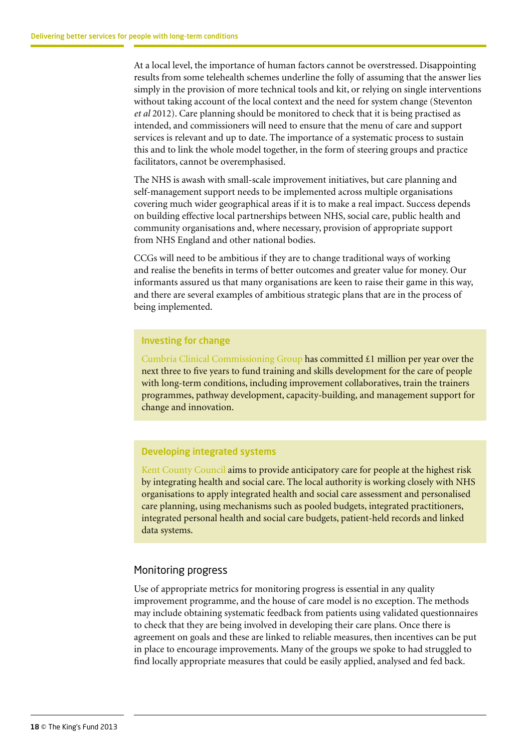At a local level, the importance of human factors cannot be overstressed. Disappointing results from some telehealth schemes underline the folly of assuming that the answer lies simply in the provision of more technical tools and kit, or relying on single interventions without taking account of the local context and the need for system change (Steventon *et al* 2012). Care planning should be monitored to check that it is being practised as intended, and commissioners will need to ensure that the menu of care and support services is relevant and up to date. The importance of a systematic process to sustain this and to link the whole model together, in the form of steering groups and practice facilitators, cannot be overemphasised.

The NHS is awash with small-scale improvement initiatives, but care planning and self-management support needs to be implemented across multiple organisations covering much wider geographical areas if it is to make a real impact. Success depends on building effective local partnerships between NHS, social care, public health and community organisations and, where necessary, provision of appropriate support from NHS England and other national bodies.

CCGs will need to be ambitious if they are to change traditional ways of working and realise the benefits in terms of better outcomes and greater value for money. Our informants assured us that many organisations are keen to raise their game in this way, and there are several examples of ambitious strategic plans that are in the process of being implemented.

#### Investing for change

[Cumbria Clinical Commissioning Group](http://www.cumbriaccg.nhs.uk/index.aspx) has committed  $\pounds1$  million per year over the next three to five years to fund training and skills development for the care of people with long-term conditions, including improvement collaboratives, train the trainers programmes, pathway development, capacity-building, and management support for change and innovation.

#### Developing integrated systems

[Kent County Council](http://www.kent.gov.uk/) aims to provide anticipatory care for people at the highest risk by integrating health and social care. The local authority is working closely with NHS organisations to apply integrated health and social care assessment and personalised care planning, using mechanisms such as pooled budgets, integrated practitioners, integrated personal health and social care budgets, patient-held records and linked data systems.

#### Monitoring progress

Use of appropriate metrics for monitoring progress is essential in any quality improvement programme, and the house of care model is no exception. The methods may include obtaining systematic feedback from patients using validated questionnaires to check that they are being involved in developing their care plans. Once there is agreement on goals and these are linked to reliable measures, then incentives can be put in place to encourage improvements. Many of the groups we spoke to had struggled to find locally appropriate measures that could be easily applied, analysed and fed back.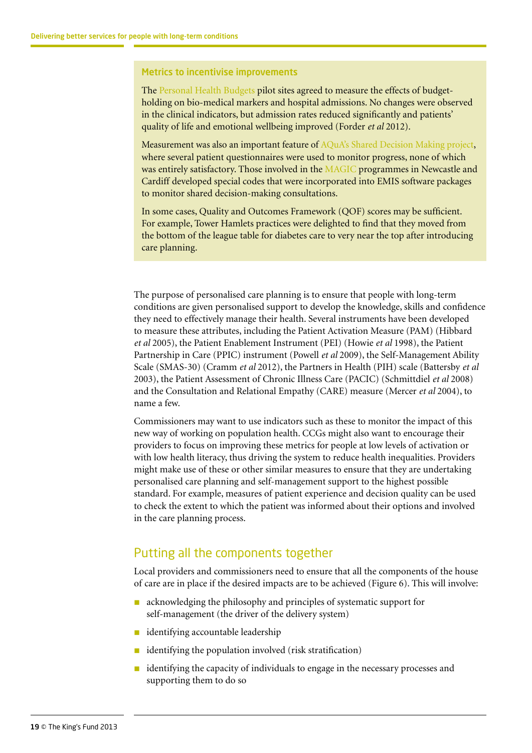#### Metrics to incentivise improvements

The [Personal Health Budgets](http://www.personalhealthbudgets.england.nhs.uk/) pilot sites agreed to measure the effects of budgetholding on bio-medical markers and hospital admissions. No changes were observed in the clinical indicators, but admission rates reduced significantly and patients' quality of life and emotional wellbeing improved (Forder *et al* 2012).

Measurement was also an important feature of [AQuA's Shared Decision Making project](http://www.advancingqualityalliance.nhs.uk/sdm/), where several patient questionnaires were used to monitor progress, none of which was entirely satisfactory. Those involved in the [MAGIC](http://www.health.org.uk/areas-of-work/programmes/shared-decision-making/) programmes in Newcastle and Cardiff developed special codes that were incorporated into EMIS software packages to monitor shared decision-making consultations.

In some cases, Quality and Outcomes Framework (QOF) scores may be sufficient. For example, Tower Hamlets practices were delighted to find that they moved from the bottom of the league table for diabetes care to very near the top after introducing care planning.

The purpose of personalised care planning is to ensure that people with long-term conditions are given personalised support to develop the knowledge, skills and confidence they need to effectively manage their health. Several instruments have been developed to measure these attributes, including the Patient Activation Measure (PAM) (Hibbard *et al* 2005), the Patient Enablement Instrument (PEI) (Howie *et al* 1998), the Patient Partnership in Care (PPIC) instrument (Powell *et al* 2009), the Self-Management Ability Scale (SMAS-30) (Cramm *et al* 2012), the Partners in Health (PIH) scale (Battersby *et al* 2003), the Patient Assessment of Chronic Illness Care (PACIC) (Schmittdiel *et al* 2008) and the Consultation and Relational Empathy (CARE) measure (Mercer *et al* 2004), to name a few.

Commissioners may want to use indicators such as these to monitor the impact of this new way of working on population health. CCGs might also want to encourage their providers to focus on improving these metrics for people at low levels of activation or with low health literacy, thus driving the system to reduce health inequalities. Providers might make use of these or other similar measures to ensure that they are undertaking personalised care planning and self-management support to the highest possible standard. For example, measures of patient experience and decision quality can be used to check the extent to which the patient was informed about their options and involved in the care planning process.

#### Putting all the components together

Local providers and commissioners need to ensure that all the components of the house of care are in place if the desired impacts are to be achieved (Figure 6). This will involve:

- $\blacksquare$  acknowledging the philosophy and principles of systematic support for self-management (the driver of the delivery system)
- identifying accountable leadership
- $\blacksquare$  identifying the population involved (risk stratification)
- identifying the capacity of individuals to engage in the necessary processes and supporting them to do so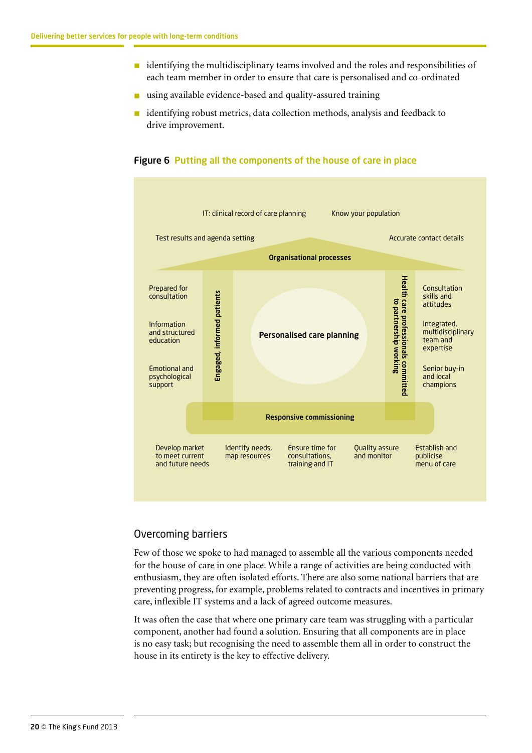- $\blacksquare$  identifying the multidisciplinary teams involved and the roles and responsibilities of each team member in order to ensure that care is personalised and co-ordinated
- using available evidence-based and quality-assured training
- $\blacksquare$  identifying robust metrics, data collection methods, analysis and feedback to drive improvement.

#### Figure 6 Putting all the components of the house of care in place



#### Overcoming barriers

Few of those we spoke to had managed to assemble all the various components needed for the house of care in one place. While a range of activities are being conducted with enthusiasm, they are often isolated efforts. There are also some national barriers that are preventing progress, for example, problems related to contracts and incentives in primary care, inflexible IT systems and a lack of agreed outcome measures.

It was often the case that where one primary care team was struggling with a particular component, another had found a solution. Ensuring that all components are in place is no easy task; but recognising the need to assemble them all in order to construct the house in its entirety is the key to effective delivery.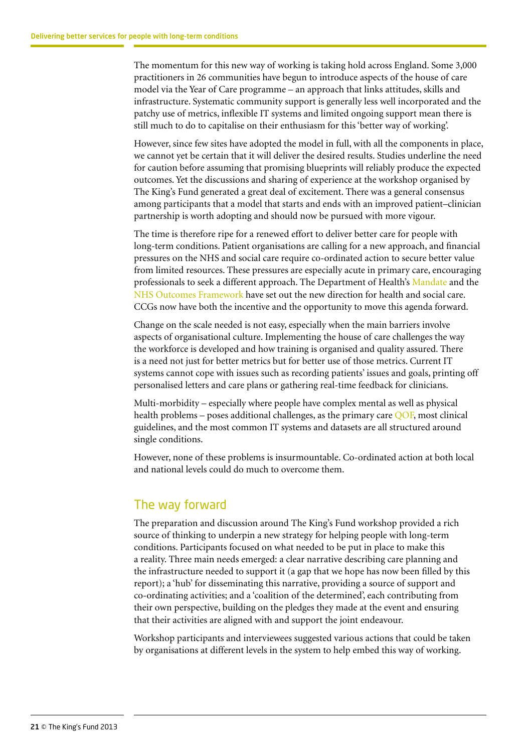<span id="page-20-0"></span>The momentum for this new way of working is taking hold across England. Some 3,000 practitioners in 26 communities have begun to introduce aspects of the house of care model via the Year of Care programme – an approach that links attitudes, skills and infrastructure. Systematic community support is generally less well incorporated and the patchy use of metrics, inflexible IT systems and limited ongoing support mean there is still much to do to capitalise on their enthusiasm for this 'better way of working'.

However, since few sites have adopted the model in full, with all the components in place, we cannot yet be certain that it will deliver the desired results. Studies underline the need for caution before assuming that promising blueprints will reliably produce the expected outcomes. Yet the discussions and sharing of experience at the workshop organised by The King's Fund generated a great deal of excitement. There was a general consensus among participants that a model that starts and ends with an improved patient–clinician partnership is worth adopting and should now be pursued with more vigour.

The time is therefore ripe for a renewed effort to deliver better care for people with long-term conditions. Patient organisations are calling for a new approach, and financial pressures on the NHS and social care require co-ordinated action to secure better value from limited resources. These pressures are especially acute in primary care, encouraging professionals to seek a different approach. The Department of Health's [Mandate](http://mandate.dh.gov.uk/) and the [NHS Outcomes Framework](https://www.gov.uk/government/publications/nhs-outcomes-framework-2013-to-2014) have set out the new direction for health and social care. CCGs now have both the incentive and the opportunity to move this agenda forward.

Change on the scale needed is not easy, especially when the main barriers involve aspects of organisational culture. Implementing the house of care challenges the way the workforce is developed and how training is organised and quality assured. There is a need not just for better metrics but for better use of those metrics. Current IT systems cannot cope with issues such as recording patients' issues and goals, printing off personalised letters and care plans or gathering real-time feedback for clinicians.

Multi-morbidity – especially where people have complex mental as well as physical health problems – poses additional challenges, as the primary care [QOF,](http://www.nhsemployers.org/Aboutus/Publications/Pages/QOF_2012-13.aspx) most clinical guidelines, and the most common IT systems and datasets are all structured around single conditions.

However, none of these problems is insurmountable. Co-ordinated action at both local and national levels could do much to overcome them.

## The way forward

The preparation and discussion around The King's Fund workshop provided a rich source of thinking to underpin a new strategy for helping people with long-term conditions. Participants focused on what needed to be put in place to make this a reality. Three main needs emerged: a clear narrative describing care planning and the infrastructure needed to support it (a gap that we hope has now been filled by this report); a 'hub' for disseminating this narrative, providing a source of support and co-ordinating activities; and a 'coalition of the determined', each contributing from their own perspective, building on the pledges they made at the event and ensuring that their activities are aligned with and support the joint endeavour.

Workshop participants and interviewees suggested various actions that could be taken by organisations at different levels in the system to help embed this way of working.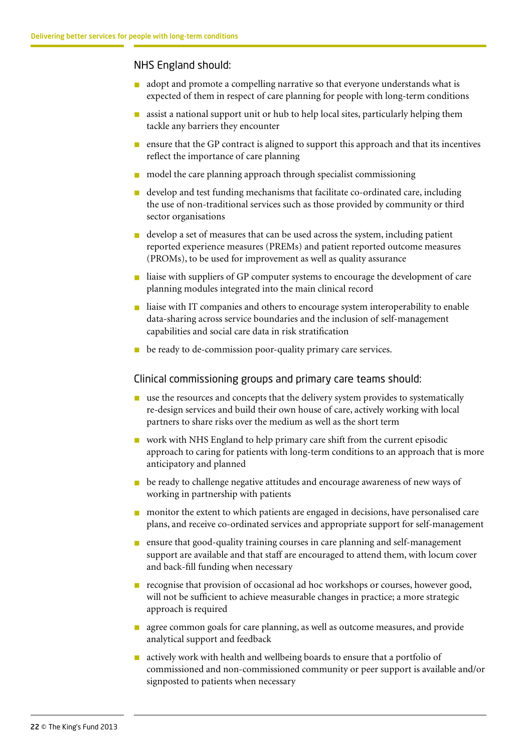#### NHS England should:

- adopt and promote a compelling narrative so that everyone understands what is expected of them in respect of care planning for people with long-term conditions
- $\blacksquare$  assist a national support unit or hub to help local sites, particularly helping them tackle any barriers they encounter
- **n** ensure that the GP contract is aligned to support this approach and that its incentives reflect the importance of care planning
- $\blacksquare$  model the care planning approach through specialist commissioning
- develop and test funding mechanisms that facilitate co-ordinated care, including the use of non-traditional services such as those provided by community or third sector organisations
- n develop a set of measures that can be used across the system, including patient reported experience measures (PREMs) and patient reported outcome measures (PROMs), to be used for improvement as well as quality assurance
- n liaise with suppliers of GP computer systems to encourage the development of care planning modules integrated into the main clinical record
- n liaise with IT companies and others to encourage system interoperability to enable data-sharing across service boundaries and the inclusion of self-management capabilities and social care data in risk stratification
- **n** be ready to de-commission poor-quality primary care services.

#### Clinical commissioning groups and primary care teams should:

- $\blacksquare$  use the resources and concepts that the delivery system provides to systematically re-design services and build their own house of care, actively working with local partners to share risks over the medium as well as the short term
- n work with NHS England to help primary care shift from the current episodic approach to caring for patients with long-term conditions to an approach that is more anticipatory and planned
- n be ready to challenge negative attitudes and encourage awareness of new ways of working in partnership with patients
- n monitor the extent to which patients are engaged in decisions, have personalised care plans, and receive co-ordinated services and appropriate support for self-management
- n ensure that good-quality training courses in care planning and self-management support are available and that staff are encouraged to attend them, with locum cover and back-fill funding when necessary
- n recognise that provision of occasional ad hoc workshops or courses, however good, will not be sufficient to achieve measurable changes in practice; a more strategic approach is required
- **n** agree common goals for care planning, as well as outcome measures, and provide analytical support and feedback
- n actively work with health and wellbeing boards to ensure that a portfolio of commissioned and non-commissioned community or peer support is available and/or signposted to patients when necessary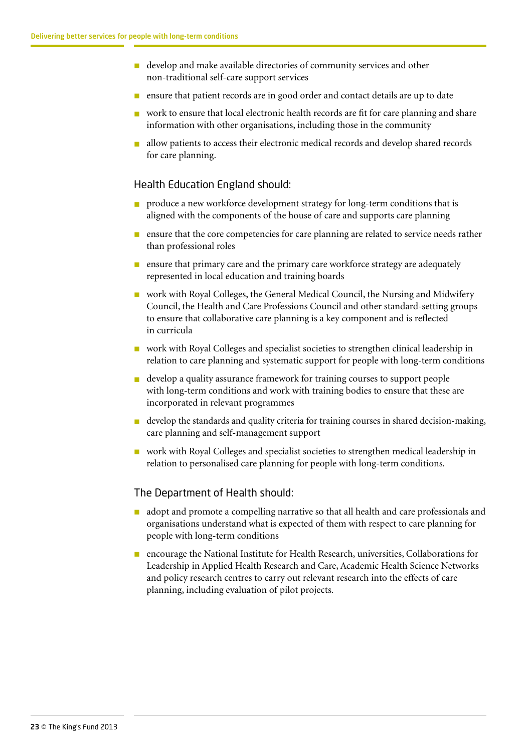- n develop and make available directories of community services and other non-traditional self-care support services
- n ensure that patient records are in good order and contact details are up to date
- $\blacksquare$  work to ensure that local electronic health records are fit for care planning and share information with other organisations, including those in the community
- n allow patients to access their electronic medical records and develop shared records for care planning.

#### Health Education England should:

- produce a new workforce development strategy for long-term conditions that is aligned with the components of the house of care and supports care planning
- n ensure that the core competencies for care planning are related to service needs rather than professional roles
- **n** ensure that primary care and the primary care workforce strategy are adequately represented in local education and training boards
- **n** work with Royal Colleges, the General Medical Council, the Nursing and Midwifery Council, the Health and Care Professions Council and other standard-setting groups to ensure that collaborative care planning is a key component and is reflected in curricula
- n work with Royal Colleges and specialist societies to strengthen clinical leadership in relation to care planning and systematic support for people with long-term conditions
- n develop a quality assurance framework for training courses to support people with long-term conditions and work with training bodies to ensure that these are incorporated in relevant programmes
- develop the standards and quality criteria for training courses in shared decision-making, care planning and self-management support
- n work with Royal Colleges and specialist societies to strengthen medical leadership in relation to personalised care planning for people with long-term conditions.

#### The Department of Health should:

- n adopt and promote a compelling narrative so that all health and care professionals and organisations understand what is expected of them with respect to care planning for people with long-term conditions
- n encourage the National Institute for Health Research, universities, Collaborations for Leadership in Applied Health Research and Care, Academic Health Science Networks and policy research centres to carry out relevant research into the effects of care planning, including evaluation of pilot projects.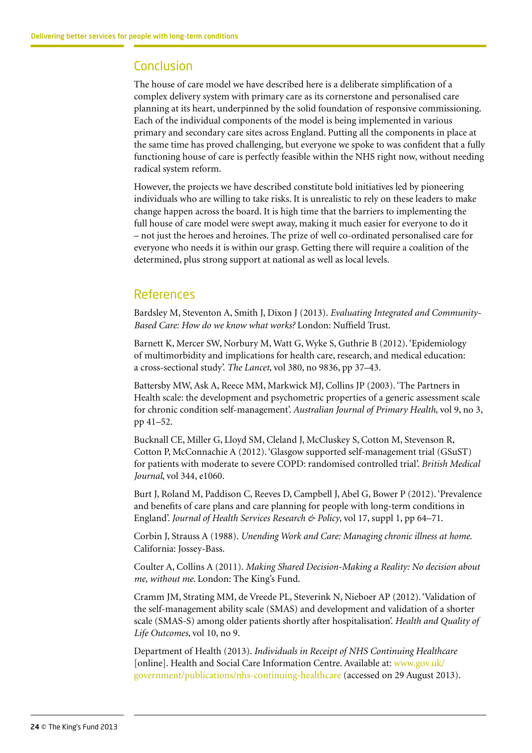# Conclusion

The house of care model we have described here is a deliberate simplification of a complex delivery system with primary care as its cornerstone and personalised care planning at its heart, underpinned by the solid foundation of responsive commissioning. Each of the individual components of the model is being implemented in various primary and secondary care sites across England. Putting all the components in place at the same time has proved challenging, but everyone we spoke to was confident that a fully functioning house of care is perfectly feasible within the NHS right now, without needing radical system reform.

However, the projects we have described constitute bold initiatives led by pioneering individuals who are willing to take risks. It is unrealistic to rely on these leaders to make change happen across the board. It is high time that the barriers to implementing the full house of care model were swept away, making it much easier for everyone to do it – not just the heroes and heroines. The prize of well co-ordinated personalised care for everyone who needs it is within our grasp. Getting there will require a coalition of the determined, plus strong support at national as well as local levels.

# References

Bardsley M, Steventon A, Smith J, Dixon J (2013). *Evaluating Integrated and Community-Based Care: How do we know what works?* London: Nuffield Trust.

Barnett K, Mercer SW, Norbury M, Watt G, Wyke S, Guthrie B (2012). 'Epidemiology of multimorbidity and implications for health care, research, and medical education: a cross-sectional study'. *The Lancet*, vol 380, no 9836, pp 37–43.

Battersby MW, Ask A, Reece MM, Markwick MJ, Collins JP (2003). 'The Partners in Health scale: the development and psychometric properties of a generic assessment scale for chronic condition self-management'. *Australian Journal of Primary Health*, vol 9, no 3, pp 41–52.

Bucknall CE, Miller G, Lloyd SM, Cleland J, McCluskey S, Cotton M, Stevenson R, Cotton P, McConnachie A (2012). 'Glasgow supported self-management trial (GSuST) for patients with moderate to severe COPD: randomised controlled trial'. *British Medical Journal*, vol 344, e1060.

Burt J, Roland M, Paddison C, Reeves D, Campbell J, Abel G, Bower P (2012). 'Prevalence and benefits of care plans and care planning for people with long-term conditions in England'. *Journal of Health Services Research & Policy*, vol 17, suppl 1, pp 64–71.

Corbin J, Strauss A (1988). *Unending Work and Care: Managing chronic illness at home*. California: Jossey-Bass.

Coulter A, Collins A (2011). *Making Shared Decision-Making a Reality: No decision about me, without me*. London: The King's Fund.

Cramm JM, Strating MM, de Vreede PL, Steverink N, Nieboer AP (2012). 'Validation of the self-management ability scale (SMAS) and development and validation of a shorter scale (SMAS-S) among older patients shortly after hospitalisation'. *Health and Quality of Life Outcomes*, vol 10, no 9.

Department of Health (2013). *Individuals in Receipt of NHS Continuing Healthcare* [online]. Health and Social Care Information Centre. Available at: [www.gov.uk/](http://www.gov.uk/government/publications/nhs-continuing-healthcare) [government/publications/nhs-continuing-healthcare](http://www.gov.uk/government/publications/nhs-continuing-healthcare) (accessed on 29 August 2013).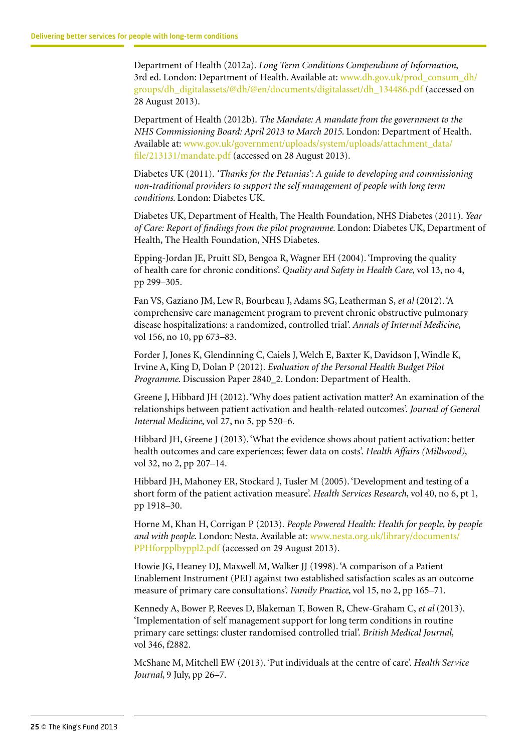Department of Health (2012a). *Long Term Conditions Compendium of Information*, 3rd ed. London: Department of Health. Available at: [www.dh.gov.uk/prod\\_consum\\_dh/](http://www.dh.gov.uk/prod_consum_dh/groups/dh_digitalassets/@dh/@en/documents/digitalasset/dh_134486.pdf) [groups/dh\\_digitalassets/@dh/@en/documents/digitalasset/dh\\_134486.pdf](http://www.dh.gov.uk/prod_consum_dh/groups/dh_digitalassets/@dh/@en/documents/digitalasset/dh_134486.pdf) (accessed on 28 August 2013).

Department of Health (2012b). *The Mandate: A mandate from the government to the NHS Commissioning Board: April 2013 to March 2015*. London: Department of Health. Available at: [www.gov.uk/government/uploads/system/uploads/attachment\\_data/](https://www.gov.uk/government/uploads/system/uploads/attachment_data/file/213131/mandate.pdf) [file/213131/mandate.pdf](https://www.gov.uk/government/uploads/system/uploads/attachment_data/file/213131/mandate.pdf) (accessed on 28 August 2013).

Diabetes UK (2011). *'Thanks for the Petunias': A guide to developing and commissioning non-traditional providers to support the self management of people with long term conditions*. London: Diabetes UK.

Diabetes UK, Department of Health, The Health Foundation, NHS Diabetes (2011). *Year of Care: Report of findings from the pilot programme*. London: Diabetes UK, Department of Health, The Health Foundation, NHS Diabetes.

Epping-Jordan JE, Pruitt SD, Bengoa R, Wagner EH (2004). 'Improving the quality of health care for chronic conditions'. *Quality and Safety in Health Care*, vol 13, no 4, pp 299–305.

Fan VS, Gaziano JM, Lew R, Bourbeau J, Adams SG, Leatherman S, *et al* (2012). 'A comprehensive care management program to prevent chronic obstructive pulmonary disease hospitalizations: a randomized, controlled trial'. *Annals of Internal Medicine*, vol 156, no 10, pp 673–83.

Forder J, Jones K, Glendinning C, Caiels J, Welch E, Baxter K, Davidson J, Windle K, Irvine A, King D, Dolan P (2012). *Evaluation of the Personal Health Budget Pilot Programme*. Discussion Paper 2840\_2. London: Department of Health.

Greene J, Hibbard JH (2012). 'Why does patient activation matter? An examination of the relationships between patient activation and health-related outcomes'. *Journal of General Internal Medicine*, vol 27, no 5, pp 520–6.

Hibbard JH, Greene J (2013). 'What the evidence shows about patient activation: better health outcomes and care experiences; fewer data on costs'. *Health Affairs (Millwood)*, vol 32, no 2, pp 207–14.

Hibbard JH, Mahoney ER, Stockard J, Tusler M (2005). 'Development and testing of a short form of the patient activation measure'. *Health Services Research*, vol 40, no 6, pt 1, pp 1918–30.

Horne M, Khan H, Corrigan P (2013). *People Powered Health: Health for people, by people and with people*. London: Nesta. Available at: [www.nesta.org.uk/library/documents/](http://www.nesta.org.uk/library/documents/PPHforpplbyppl2.pdf) [PPHforpplbyppl2.pdf](http://www.nesta.org.uk/library/documents/PPHforpplbyppl2.pdf) (accessed on 29 August 2013).

Howie JG, Heaney DJ, Maxwell M, Walker JJ (1998). 'A comparison of a Patient Enablement Instrument (PEI) against two established satisfaction scales as an outcome measure of primary care consultations'. *Family Practice*, vol 15, no 2, pp 165–71.

Kennedy A, Bower P, Reeves D, Blakeman T, Bowen R, Chew-Graham C, *et al* (2013). 'Implementation of self management support for long term conditions in routine primary care settings: cluster randomised controlled trial'. *British Medical Journal*, vol 346, f2882.

McShane M, Mitchell EW (2013). 'Put individuals at the centre of care'. *Health Service Journal*, 9 July, pp 26–7.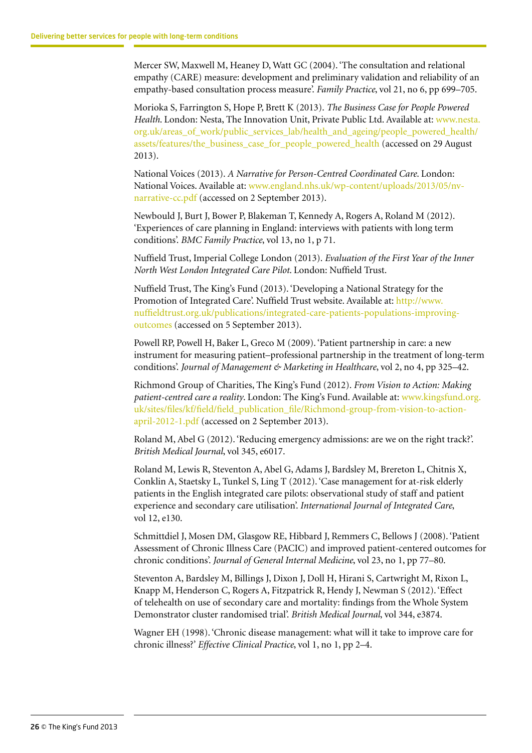Mercer SW, Maxwell M, Heaney D, Watt GC (2004). 'The consultation and relational empathy (CARE) measure: development and preliminary validation and reliability of an empathy-based consultation process measure'. *Family Practice*, vol 21, no 6, pp 699–705.

Morioka S, Farrington S, Hope P, Brett K (2013). *The Business Case for People Powered Health*. London: Nesta, The Innovation Unit, Private Public Ltd. Available at: [www.nesta.](http://www.nesta.org.uk/areas_of_work/public_services_lab/health_and_ageing/people_powered_health/assets/features/the_business_case_for_people_powered_health) [org.uk/areas\\_of\\_work/public\\_services\\_lab/health\\_and\\_ageing/people\\_powered\\_health/](http://www.nesta.org.uk/areas_of_work/public_services_lab/health_and_ageing/people_powered_health/assets/features/the_business_case_for_people_powered_health) [assets/features/the\\_business\\_case\\_for\\_people\\_powered\\_health](http://www.nesta.org.uk/areas_of_work/public_services_lab/health_and_ageing/people_powered_health/assets/features/the_business_case_for_people_powered_health) (accessed on 29 August 2013).

National Voices (2013). *A Narrative for Person-Centred Coordinated Care*. London: National Voices. Available at: www.england.nhs.uk/wp-content/uploads/2013/05/nvnarrative-cc.pdf (accessed on 2 September 2013).

Newbould J, Burt J, Bower P, Blakeman T, Kennedy A, Rogers A, Roland M (2012). 'Experiences of care planning in England: interviews with patients with long term conditions'. *BMC Family Practice*, vol 13, no 1, p 71.

Nuffield Trust, Imperial College London (2013). *Evaluation of the First Year of the Inner North West London Integrated Care Pilot*. London: Nuffield Trust.

Nuffield Trust, The King's Fund (2013). 'Developing a National Strategy for the Promotion of Integrated Care'. Nuffield Trust website. Available at: [http://www.](http://www.nuffieldtrust.org.uk/publications/integrated-care-patients-populations-improving-outcomes) [nuffieldtrust.org.uk/publications/integrated-care-patients-populations-improving](http://www.nuffieldtrust.org.uk/publications/integrated-care-patients-populations-improving-outcomes)[outcomes](http://www.nuffieldtrust.org.uk/publications/integrated-care-patients-populations-improving-outcomes) (accessed on 5 September 2013).

Powell RP, Powell H, Baker L, Greco M (2009). 'Patient partnership in care: a new instrument for measuring patient–professional partnership in the treatment of long-term conditions'. *Journal of Management & Marketing in Healthcare*, vol 2, no 4, pp 325–42.

Richmond Group of Charities, The King's Fund (2012). *From Vision to Action: Making patient-centred care a reality*. London: The King's Fund. Available at: [www.kingsfund.org.](http://www.kingsfund.org.uk/sites/files/kf/field/field_publication_file/Richmond-group-from-vision-to-action-april-2012-1.pdf) [uk/sites/files/kf/field/field\\_publication\\_file/Richmond-group-from-vision-to-action](http://www.kingsfund.org.uk/sites/files/kf/field/field_publication_file/Richmond-group-from-vision-to-action-april-2012-1.pdf)[april-2012-1.pdf](http://www.kingsfund.org.uk/sites/files/kf/field/field_publication_file/Richmond-group-from-vision-to-action-april-2012-1.pdf) (accessed on 2 September 2013).

Roland M, Abel G (2012). 'Reducing emergency admissions: are we on the right track?'. *British Medical Journal*, vol 345, e6017.

Roland M, Lewis R, Steventon A, Abel G, Adams J, Bardsley M, Brereton L, Chitnis X, Conklin A, Staetsky L, Tunkel S, Ling T (2012). 'Case management for at-risk elderly patients in the English integrated care pilots: observational study of staff and patient experience and secondary care utilisation'. *International Journal of Integrated Care*, vol 12, e130.

Schmittdiel J, Mosen DM, Glasgow RE, Hibbard J, Remmers C, Bellows J (2008). 'Patient Assessment of Chronic Illness Care (PACIC) and improved patient-centered outcomes for chronic conditions'. *Journal of General Internal Medicine*, vol 23, no 1, pp 77–80.

Steventon A, Bardsley M, Billings J, Dixon J, Doll H, Hirani S, Cartwright M, Rixon L, Knapp M, Henderson C, Rogers A, Fitzpatrick R, Hendy J, Newman S (2012). 'Effect of telehealth on use of secondary care and mortality: findings from the Whole System Demonstrator cluster randomised trial'. *British Medical Journal*, vol 344, e3874.

Wagner EH (1998). 'Chronic disease management: what will it take to improve care for chronic illness?' *Effective Clinical Practice*, vol 1, no 1, pp 2–4.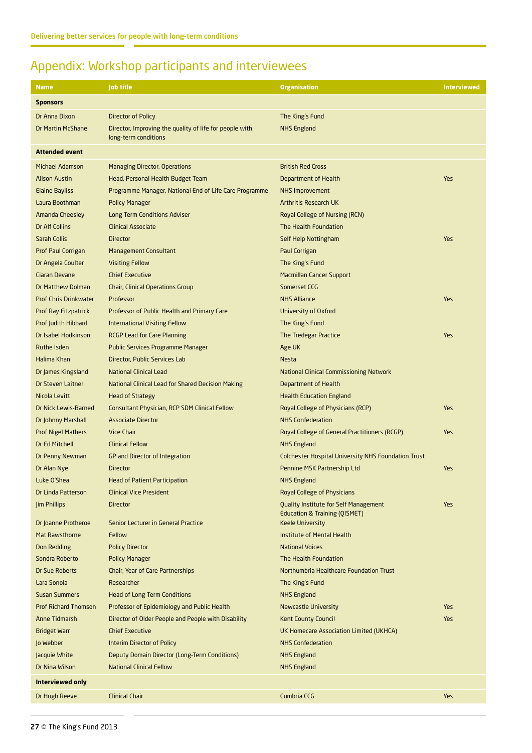# <span id="page-26-0"></span>Appendix: Workshop participants and interviewees

| <b>Name</b>                  | <b>Job title</b>                                                                | <b>Organisation</b>                                                                      | <b>Interviewed</b> |
|------------------------------|---------------------------------------------------------------------------------|------------------------------------------------------------------------------------------|--------------------|
| <b>Sponsors</b>              |                                                                                 |                                                                                          |                    |
| Dr Anna Dixon                | Director of Policy                                                              | The King's Fund                                                                          |                    |
| <b>Dr Martin McShane</b>     | Director, Improving the quality of life for people with<br>long-term conditions | <b>NHS England</b>                                                                       |                    |
| <b>Attended event</b>        |                                                                                 |                                                                                          |                    |
| <b>Michael Adamson</b>       | <b>Managing Director, Operations</b>                                            | <b>British Red Cross</b>                                                                 |                    |
| <b>Alison Austin</b>         | Head, Personal Health Budget Team                                               | Department of Health                                                                     | Yes                |
| <b>Elaine Bayliss</b>        | Programme Manager, National End of Life Care Programme                          | <b>NHS Improvement</b>                                                                   |                    |
| Laura Boothman               | <b>Policy Manager</b>                                                           | <b>Arthritis Research UK</b>                                                             |                    |
| <b>Amanda Cheesley</b>       | <b>Long Term Conditions Adviser</b>                                             | Royal College of Nursing (RCN)                                                           |                    |
| Dr Alf Collins               | <b>Clinical Associate</b>                                                       | The Health Foundation                                                                    |                    |
| Sarah Collis                 | <b>Director</b>                                                                 | Self Help Nottingham                                                                     | Yes                |
| <b>Prof Paul Corrigan</b>    | <b>Management Consultant</b>                                                    | Paul Corrigan                                                                            |                    |
| Dr Angela Coulter            | <b>Visiting Fellow</b>                                                          | The King's Fund                                                                          |                    |
| Ciaran Devane                | <b>Chief Executive</b>                                                          | <b>Macmillan Cancer Support</b>                                                          |                    |
| Dr Matthew Dolman            | Chair, Clinical Operations Group                                                | Somerset CCG                                                                             |                    |
| <b>Prof Chris Drinkwater</b> | Professor                                                                       | <b>NHS Alliance</b>                                                                      | Yes                |
| Prof Ray Fitzpatrick         | Professor of Public Health and Primary Care                                     | University of Oxford                                                                     |                    |
| Prof Judith Hibbard          | <b>International Visiting Fellow</b>                                            | The King's Fund                                                                          |                    |
| Dr Isabel Hodkinson          | <b>RCGP Lead for Care Planning</b>                                              | The Tredegar Practice                                                                    | Yes                |
| <b>Ruthe Isden</b>           | <b>Public Services Programme Manager</b>                                        | Age UK                                                                                   |                    |
| Halima Khan                  | Director, Public Services Lab                                                   | <b>Nesta</b>                                                                             |                    |
| Dr James Kingsland           | <b>National Clinical Lead</b>                                                   | <b>National Clinical Commissioning Network</b>                                           |                    |
| Dr Steven Laitner            | <b>National Clinical Lead for Shared Decision Making</b>                        | Department of Health                                                                     |                    |
| Nicola Levitt                | <b>Head of Strategy</b>                                                         | <b>Health Education England</b>                                                          |                    |
| Dr Nick Lewis-Barned         | Consultant Physician, RCP SDM Clinical Fellow                                   | Royal College of Physicians (RCP)                                                        | Yes                |
| Dr Johnny Marshall           | <b>Associate Director</b>                                                       | <b>NHS Confederation</b>                                                                 |                    |
| <b>Prof Nigel Mathers</b>    | <b>Vice Chair</b>                                                               | Royal College of General Practitioners (RCGP)                                            | Yes                |
| Dr Ed Mitchell               | <b>Clinical Fellow</b>                                                          | <b>NHS England</b>                                                                       |                    |
| Dr Penny Newman              | GP and Director of Integration                                                  | <b>Colchester Hospital University NHS Foundation Trust</b>                               |                    |
| Dr Alan Nye                  | <b>Director</b>                                                                 | Pennine MSK Partnership Ltd                                                              | Yes                |
| Luke O'Shea                  | <b>Head of Patient Participation</b>                                            | NHS England                                                                              |                    |
| Dr Linda Patterson           | <b>Clinical Vice President</b>                                                  | Royal College of Physicians                                                              |                    |
| <b>Jim Phillips</b>          | <b>Director</b>                                                                 | <b>Quality Institute for Self Management</b><br><b>Education &amp; Training (QISMET)</b> | Yes                |
| Dr Joanne Protheroe          | Senior Lecturer in General Practice                                             | <b>Keele University</b>                                                                  |                    |
| Mat Rawsthorne               | Fellow                                                                          | <b>Institute of Mental Health</b>                                                        |                    |
| Don Redding                  | <b>Policy Director</b>                                                          | <b>National Voices</b>                                                                   |                    |
| Sondra Roberto               | <b>Policy Manager</b>                                                           | The Health Foundation                                                                    |                    |
| Dr Sue Roberts               | Chair, Year of Care Partnerships                                                | Northumbria Healthcare Foundation Trust                                                  |                    |
| Lara Sonola                  | Researcher                                                                      | The King's Fund                                                                          |                    |
| <b>Susan Summers</b>         | <b>Head of Long Term Conditions</b>                                             | <b>NHS England</b>                                                                       |                    |
| <b>Prof Richard Thomson</b>  | Professor of Epidemiology and Public Health                                     | <b>Newcastle University</b>                                                              | Yes                |
| Anne Tidmarsh                | Director of Older People and People with Disability                             | <b>Kent County Council</b>                                                               | Yes                |
| <b>Bridget Warr</b>          | <b>Chief Executive</b>                                                          | UK Homecare Association Limited (UKHCA)                                                  |                    |
| Jo Webber                    | <b>Interim Director of Policy</b>                                               | <b>NHS Confederation</b>                                                                 |                    |
| Jacquie White                | Deputy Domain Director (Long-Term Conditions)                                   | <b>NHS England</b>                                                                       |                    |
| Dr Nina Wilson               | <b>National Clinical Fellow</b>                                                 | <b>NHS England</b>                                                                       |                    |
| Interviewed only             |                                                                                 |                                                                                          |                    |
| Dr Hugh Reeve                | <b>Clinical Chair</b>                                                           | Cumbria CCG                                                                              | Yes                |